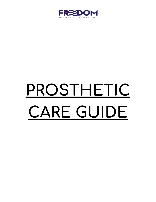

# **PROSTHETIC CARE GUIDE**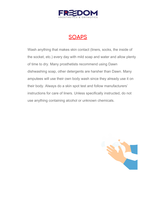

# **SOAPS**

Wash anything that makes skin contact (liners, socks, the inside of the socket, etc.) every day with mild soap and water and allow plenty of time to dry. Many prosthetists recommend using Dawn dishwashing soap, other detergents are harsher than Dawn. Many amputees will use their own body wash since they already use it on their body. Always do a skin spot test and follow manufacturers' instructions for care of liners. Unless specifically instructed, do not use anything containing alcohol or unknown chemicals.

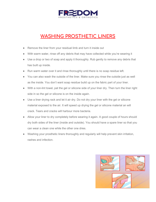

## **WASHING PROSTHETIC LINERS**

- Remove the liner from your residual limb and turn it inside out
- With warm water, rinse off any debris that may have collected while you're wearing it
- Use a drop or two of soap and apply it thoroughly. Rub gently to remove any debris that has built up inside.
- Run warm water over it and rinse thoroughly until there is no soap residue left.
- You can also wash the outside of the liner. Make sure you rinse the outside just as well as the inside. You don't want soap residue build up on the fabric part of your liner.
- With a non-lint towel, pat the gel or silicone side of your liner dry. Then turn the liner right side in so the gel or silicone is on the inside again.
- Use a liner drying rack and let it air dry. Do not dry your liner with the gel or silicone material exposed to the air. It will speed up drying the gel or silicone material an will crack. Tears and cracks will harbour more bacteria.
- Allow your liner to dry completely before wearing it again. A good couple of hours should dry both sides of the liner (inside and outside). You should have a spare liner so that you can wear a clean one while the other one dries.
- Washing your prosthetic liners thoroughly and regularly will help prevent skin irritation, rashes and infection.

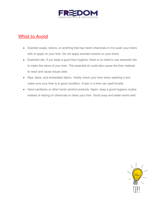

#### **What to Avoid**

- Scented soaps, lotions, or anything that has harsh chemicals in it to wash your liners with or apply on your liner. Do not apply scented creams on your liners.
- Essential oils. If you keep a good liner hygiene, there is no need to use essential oils to make the odors of your liner. The essential oil could also cause the liner material to react and cause issues later.
- Rips, tears, and embedded debris. Visibly check your liner when washing it and make sure your liner is in good condition. A tear in a liner can spell trouble.
- Hand sanitizers or other harsh alcohol products. Again, keep a good hygiene routine instead of relying on chemicals to clean your liner. Good soap and water works well.

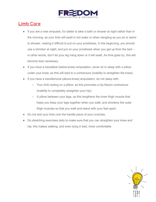

## **Limb Care**

- If you are a new amputee, it's better to take a bath or shower at night rather than in the morning, as your limb will swell in hot water or when dangling as you sit or stand to shower, making it difficult to put on your prosthesis. In the beginning, you should use a shrinker at night, and put on your prosthesis when you get up from the bed – in other words, don't let your leg hang down or it will swell. As time goes by, this will become less necessary.
- If you have a transtibial (below-knee) amputation, never sit or sleep with a pillow under your knee, as this will lead to a contracture (inability to straighten the knee).
- If you have a transfemoral (above-knee) amputation, do not sleep with:
	- Your limb resting on a pillow, as this promotes a hip flexion contracture (inability to completely straighten your hip)
	- A pillow between your legs, as this lengthens the inner thigh muscle that helps you keep your legs together when you walk, and shortens the outer thigh muscles so that you walk and stand with your feet apart.
- Do not rest your limb over the handle piece of your crutches.
- Do stretching exercises daily to make sure that you can straighten your knee and hip; this makes walking, and even lying in bed, more comfortable

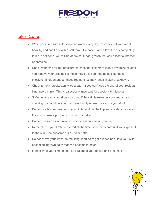

#### **Skin Care**

- Wash your limb with mild soap and water every day (more often if you sweat heavily) and pat it dry with a soft towel. Be patient and allow it to dry completely. If this is not done, you will be at risk for fungal growth that could lead to infection or abrasion.
- Check your limb for red pressure patches that last more than a few minutes after you remove your prosthesis; these may be a sign that the socket needs checking. If left untended, these red patches may result in skin breakdown.
- $\bullet$  Check for skin breakdown twice a day if you can't see the end of your residual limb, use a mirror. This is particularly important for people with diabetes.
- Softening cream should only be used if the skin is extremely dry and at risk of cracking. It should only be used temporarily unless cleared by your doctor.
- Do not use talcum powder on your limb, as it can ball up and create an abrasion. If you must use a powder, cornstarch is better.
- Do not use alcohol or unknown chemicals/ creams on your limb.
- Remember your limb is covered all the time, so be very careful if you expose it to the sun. Use sunscreen SPF 30 or better.
- Do not shave your limb; the resulting short hairs get pushed back into your skin, becoming ingrown hairs that can become infected.
- If the skin of your limb opens, go straight to your doctor and prosthetist.

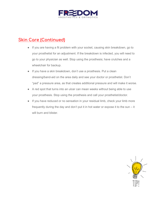

## **Skin Care (Continued)**

- If you are having a fit problem with your socket, causing skin breakdown, go to your prosthetist for an adjustment. If the breakdown is infected, you will need to go to your physician as well. Stop using the prosthesis; have crutches and a wheelchair for backup.
- If you have a skin breakdown, don't use a prosthesis. Put a clean dressing/band-aid on the area daily and see your doctor or prosthetist. Don't "pad" a pressure area, as that creates additional pressure and will make it worse.
- A red spot that turns into an ulcer can mean weeks without being able to use your prosthesis. Stop using the prosthesis and call your prosthetist/doctor.
- If you have reduced or no sensation in your residual limb, check your limb more frequently during the day and don't put it in hot water or expose it to the sun – it will burn and blister.